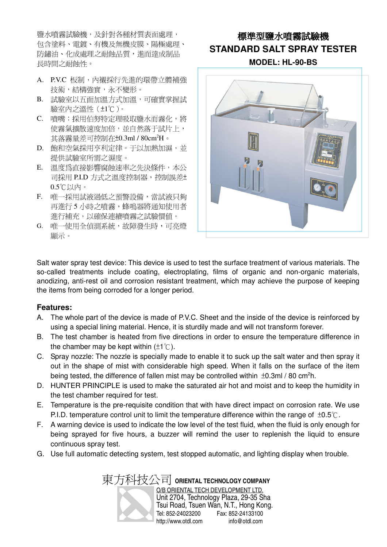鹽水噴霧試驗機,及針對各種材質表面處理, 包含塗料、電鍍、有機及無機皮膜、陽極處理、 防鏽油、化成處理之耐蝕品質,進而達成制品 長時間之耐蝕性。

- A. P.V.C 板制,內襯採行先進的環帶立體補強 技術,結構強實,永不變形。
- B. 試驗室以五面加溫方式加溫,可確實掌握試 驗室內之溫性(±1℃)。
- C. 噴嘴:採用伯努特定理吸取鹽水而霧化,將 使霧氣擴散速度加倍,並自然落于試片上, 其落霧量差可控制在±0.3ml / 80cm<sup>2</sup>H。
- D. 飽和空氣採用亨利定律。于以加熱加濕,並 提供試驗室所需之濕度。
- E. 溫度為直接影響腐蝕速率之先決條件,本公 司採用 P.I.D 方式之溫度控制器,控制誤差± 0.5℃以內。
- F. 唯一採用試液過低之預警設備,當試液只夠 再進行 5 小時之噴霧,蜂鳴器將通知使用者 進行補充,以確保連續噴霧之試驗價值。
- G. 唯一使用全偵測系統,故障發生時,可亮燈 顯示。

### 標準型鹽水噴霧試驗機 **STANDARD SALT SPRAY TESTER**

**MODEL: HL-90-BS**



Salt water spray test device: This device is used to test the surface treatment of various materials. The so-called treatments include coating, electroplating, films of organic and non-organic materials, anodizing, anti-rest oil and corrosion resistant treatment, which may achieve the purpose of keeping the items from being corroded for a longer period.

#### **Features:**

- A. The whole part of the device is made of P.V.C. Sheet and the inside of the device is reinforced by using a special lining material. Hence, it is sturdily made and will not transform forever.
- B. The test chamber is heated from five directions in order to ensure the temperature difference in the chamber may be kept within  $(\pm 1^{\circ}C)$ .
- C. Spray nozzle: The nozzle is specially made to enable it to suck up the salt water and then spray it out in the shape of mist with considerable high speed. When it falls on the surface of the item being tested, the difference of fallen mist may be controlled within  $\pm 0.3$ ml / 80 cm<sup>2</sup>h.
- D. HUNTER PRINCIPLE is used to make the saturated air hot and moist and to keep the humidity in the test chamber required for test.
- E. Temperature is the pre-requisite condition that with have direct impact on corrosion rate. We use P.I.D. temperature control unit to limit the temperature difference within the range of  $\pm 0.5^{\circ}$ .
- F. A warning device is used to indicate the low level of the test fluid, when the fluid is only enough for being sprayed for five hours, a buzzer will remind the user to replenish the liquid to ensure continuous spray test.
- G. Use full automatic detecting system, test stopped automatic, and lighting display when trouble.

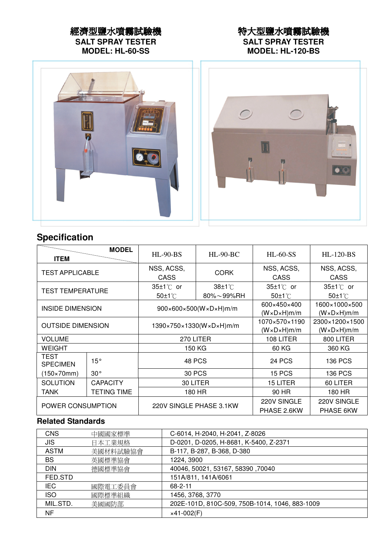### 經濟型鹽水噴霧試驗機 **SALT SPRAY TESTER**

**MODEL: HL-60-SS**

#### 特大型鹽水噴霧試驗機 **SALT SPRAY TESTER MODEL: HL-120-BS**



## **Specification**

| <b>MODEL</b><br><b>ITEM</b>    |                    | $HL-90-BS$<br>$HL-90-BC$                               |                | $HL$ -60-SS                | <b>HL-120-BS</b>           |  |
|--------------------------------|--------------------|--------------------------------------------------------|----------------|----------------------------|----------------------------|--|
| <b>TEST APPLICABLE</b>         |                    | NSS, ACSS,                                             | <b>CORK</b>    | NSS, ACSS,                 | NSS, ACSS,                 |  |
|                                |                    | <b>CASS</b>                                            |                | <b>CASS</b>                | CASS                       |  |
| <b>TEST TEMPERATURE</b>        |                    | $35±1^{\circ}$ or                                      | $38±1^{\circ}$ | 35±1℃ or                   | 35±1℃ or                   |  |
|                                |                    | $50±1^{\circ}$                                         | 80%~99%RH      | $50±1^{\circ}$             | $50±1^{\circ}$             |  |
| <b>INSIDE DIMENSION</b>        |                    | $900\times600\times500$ (W $\times$ D $\times$ H)m/m   |                | 600×450×400                | 1600×1000×500              |  |
|                                |                    |                                                        |                | $(W \times D \times H)m/m$ | $(W \times D \times H)m/m$ |  |
| <b>OUTSIDE DIMENSION</b>       |                    | $1390 \times 750 \times 1330(W \times D \times H)$ m/m |                | 1070×570×1190              | 2300×1200×1500             |  |
|                                |                    |                                                        |                | $(W \times D \times H)m/m$ | $(W \times D \times H)m/m$ |  |
| <b>VOLUME</b>                  |                    | 270 LITER                                              |                | 108 LITER                  | 800 LITER                  |  |
| <b>WEIGHT</b>                  |                    | 150 KG                                                 |                | 60 KG                      | 360 KG                     |  |
| <b>TEST</b><br><b>SPECIMEN</b> | 15°                |                                                        | 48 PCS         | <b>24 PCS</b>              | 136 PCS                    |  |
| $(150\times70$ mm $)$          | $30^\circ$         | 30 PCS                                                 |                | 15 PCS                     | 136 PCS                    |  |
| <b>SOLUTION</b>                | <b>CAPACITY</b>    | 30 LITER                                               |                | <b>15 LITER</b>            | 60 LITER                   |  |
| <b>TANK</b>                    | <b>TETING TIME</b> | 180 HR                                                 |                | 90 HR                      | 180 HR                     |  |
| POWER CONSUMPTION              |                    | 220V SINGLE PHASE 3.1KW                                |                | 220V SINGLE                | 220V SINGLE                |  |
|                                |                    |                                                        |                | PHASE 2.6KW                | PHASE 6KW                  |  |

#### **Related Standards**

| <b>CNS</b>  | 中國國家標準   | C-6014, H-2040, H-2041, Z-8026                 |
|-------------|----------|------------------------------------------------|
| JIS         | 日本工業規格   | D-0201, D-0205, H-8681, K-5400, Z-2371         |
| <b>ASTM</b> | 美國材料試驗協會 | B-117, B-287, B-368, D-380                     |
| <b>BS</b>   | 英國標準協會   | 1224, 3900                                     |
| <b>DIN</b>  | 德國標準協會   | 40046, 50021, 53167, 58390, 70040              |
| FED.STD     |          | 151A/811, 141A/6061                            |
| <b>IEC</b>  | 國際電工委員會  | $68 - 2 - 11$                                  |
| <b>ISO</b>  | 國際標準組織   | 1456, 3768, 3770                               |
| MIL.STD.    | 美國國防部    | 202E-101D, 810C-509, 750B-1014, 1046, 883-1009 |
| NF          |          | $\times$ 41-002(F)                             |